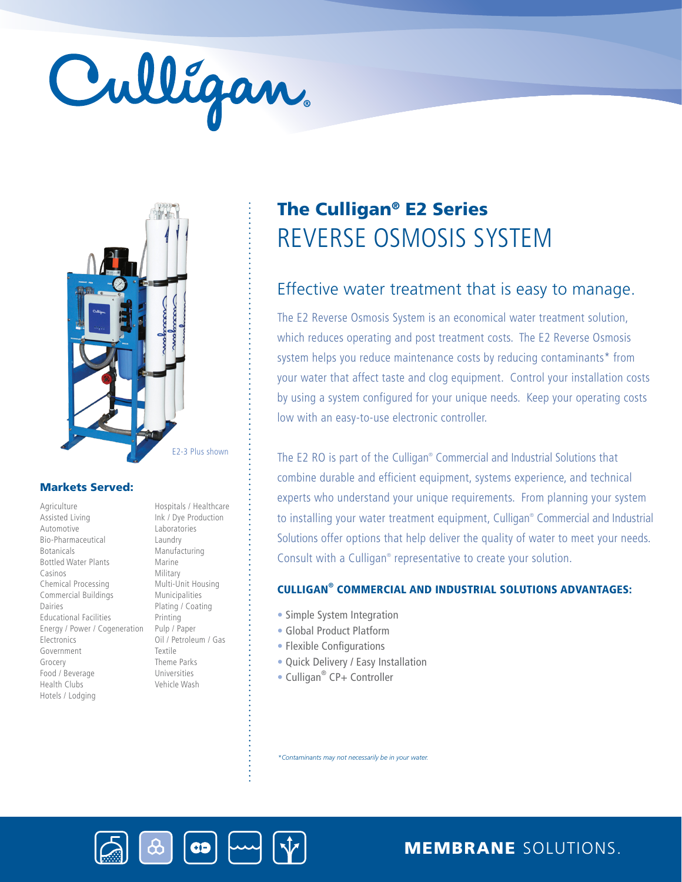# Culligan



# Markets Served:

**Agriculture** Assisted Living Automotive Bio-Pharmaceutical Botanicals Bottled Water Plants Casinos Chemical Processing Commercial Buildings Dairies Educational Facilities Energy / Power / Cogeneration Electronics Government Grocery Food / Beverage Health Clubs Hotels / Lodging

Hospitals / Healthcare Ink / Dye Production Laboratories Laundry Manufacturing Marine Military Multi-Unit Housing Municipalities Plating / Coating Printing Pulp / Paper Oil / Petroleum / Gas Textile Theme Parks Universities Vehicle Wash

# REVERSE OSMOSIS SYSTEM The Culligan® E2 Series

# Effective water treatment that is easy to manage.

The E2 Reverse Osmosis System is an economical water treatment solution, which reduces operating and post treatment costs. The E2 Reverse Osmosis system helps you reduce maintenance costs by reducing contaminants\* from your water that affect taste and clog equipment. Control your installation costs by using a system configured for your unique needs. Keep your operating costs low with an easy-to-use electronic controller.

The E2 RO is part of the Culligan® Commercial and Industrial Solutions that combine durable and efficient equipment, systems experience, and technical experts who understand your unique requirements. From planning your system to installing your water treatment equipment, Culligan® Commercial and Industrial Solutions offer options that help deliver the quality of water to meet your needs. Consult with a Culligan® representative to create your solution.

# CULLIGAN® COMMERCIAL AND INDUSTRIAL SOLUTIONS ADVANTAGES:

- Simple System Integration
- Global Product Platform
- Flexible Configurations
- Quick Delivery / Easy Installation
- Culligan<sup>®</sup> CP+ Controller

*\*Contaminants may not necessarily be in your water.*



MEMBRANE SOLUTIONS.